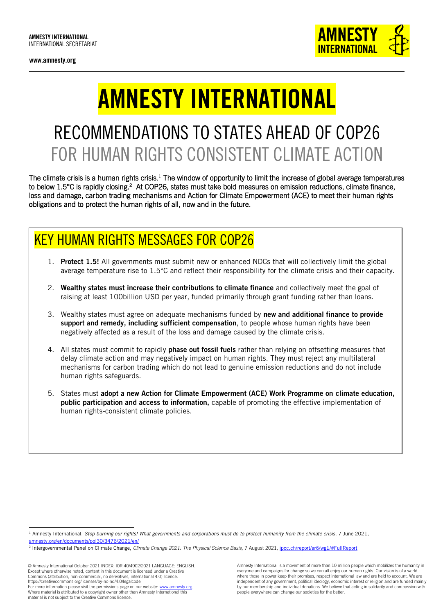www.amnesty.org



# AMNESTY INTERNATIONAL

## RECOMMENDATIONS TO STATES AHEAD OF COP26 FOR HUMAN RIGHTS CONSISTENT CLIMATE ACTION

The climate crisis is a human rights crisis.<sup>1</sup> The window of opportunity to limit the increase of global average temperatures to below 1.5°C is rapidly closing.<sup>2</sup> At COP26, states must take bold measures on emission reductions, climate finance, loss and damage, carbon trading mechanisms and Action for Climate Empowerment (ACE) to meet their human rights obligations and to protect the human rights of all, now and in the future.

### KEY HUMAN RIGHTS MESSAGES FOR COP26

- 1. Protect 1.5! All governments must submit new or enhanced NDCs that will collectively limit the global average temperature rise to 1.5°C and reflect their responsibility for the climate crisis and their capacity.
- 2. Wealthy states must increase their contributions to climate finance and collectively meet the goal of raising at least 100billion USD per year, funded primarily through grant funding rather than loans.
- 3. Wealthy states must agree on adequate mechanisms funded by new and additional finance to provide support and remedy, including sufficient compensation, to people whose human rights have been negatively affected as a result of the loss and damage caused by the climate crisis.
- 4. All states must commit to rapidly **phase out fossil fuels** rather than relying on offsetting measures that delay climate action and may negatively impact on human rights. They must reject any multilateral mechanisms for carbon trading which do not lead to genuine emission reductions and do not include human rights safeguards.
- 5. States must adopt a new Action for Climate Empowerment (ACE) Work Programme on climate education, public participation and access to information, capable of promoting the effective implementation of human rights-consistent climate policies.

© Amnesty International October 2021 INDEX: IOR 40/4902/2021 LANGUAGE: ENGLISH. Except where otherwise noted, content in this document is licensed under a Creative Commons (attribution, non-commercial, no derivatives, international 4.0) licence. https://creativecommons.org/licenses/by-nc-nd/4.0/legalcode For more information please visit the permissions page on our website[: www.amnesty.org](http://www.amnesty.org/)

l <sup>1</sup> Amnesty International, *Stop burning our rights! What governments and corporations must do to protect humanity from the climate crisis, 7 June 2021,* [amnesty.org/en/documents/pol30/3476/2021/en/](https://www.amnesty.org/en/documents/pol30/3476/2021/en/)

<sup>2</sup> Intergovernmental Panel on Climate Change, *Climate Change 2021: The Physical Science Basis,* 7 August 2021, [ipcc.ch/report/ar6/wg1/#FullReport](https://www.ipcc.ch/report/ar6/wg1/#FullReport)

Where material is attributed to a copyright owner other than Amnesty International this material is not subject to the Creative Commons licence.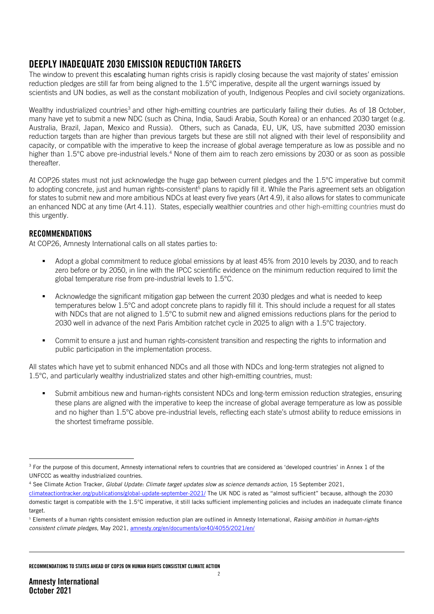#### DEEPLY INADEQUATE 2030 EMISSION REDUCTION TARGETS

The window to prevent this escalating human rights crisis is rapidly closing because the vast majority of states' emission reduction pledges are still far from being aligned to the 1.5°C imperative, despite all the urgent warnings issued by scientists and UN bodies, as well as the constant mobilization of youth, Indigenous Peoples and civil society organizations.

Wealthy industrialized countries<sup>3</sup> and other high-emitting countries are particularly failing their duties. As of 18 October, many have yet to submit a new NDC (such as China, India, Saudi Arabia, South Korea) or an enhanced 2030 target (e.g. Australia, Brazil, Japan, Mexico and Russia). Others, such as Canada, EU, UK, US, have submitted 2030 emission reduction targets than are higher than previous targets but these are still not aligned with their level of responsibility and capacity, or compatible with the imperative to keep the increase of global average temperature as low as possible and no higher than 1.5°C above pre-industrial levels.<sup>4</sup> None of them aim to reach zero emissions by 2030 or as soon as possible thereafter.

At COP26 states must not just acknowledge the huge gap between current pledges and the 1.5°C imperative but commit to adopting concrete, just and human rights-consistent<sup>5</sup> plans to rapidly fill it. While the Paris agreement sets an obligation for states to submit new and more ambitious NDCs at least every five years (Art 4.9), it also allows for states to communicate an enhanced NDC at any time (Art 4.11). States, especially wealthier countries and other high-emitting countries must do this urgently.

#### RECOMMENDATIONS

At COP26, Amnesty International calls on all states parties to:

- Adopt a global commitment to reduce global emissions by at least 45% from 2010 levels by 2030, and to reach zero before or by 2050, in line with the IPCC scientific evidence on the minimum reduction required to limit the global temperature rise from pre-industrial levels to 1.5°C.
- Acknowledge the significant mitigation gap between the current 2030 pledges and what is needed to keep temperatures below 1.5°C and adopt concrete plans to rapidly fill it. This should include a request for all states with NDCs that are not aligned to 1.5°C to submit new and aligned emissions reductions plans for the period to 2030 well in advance of the next Paris Ambition ratchet cycle in 2025 to align with a 1.5°C trajectory.
- Commit to ensure a just and human rights-consistent transition and respecting the rights to information and public participation in the implementation process.

All states which have yet to submit enhanced NDCs and all those with NDCs and long-term strategies not aligned to 1.5°C, and particularly wealthy industrialized states and other high-emitting countries, must:

 Submit ambitious new and human-rights consistent NDCs and long-term emission reduction strategies, ensuring these plans are aligned with the imperative to keep the increase of global average temperature as low as possible and no higher than 1.5°C above pre-industrial levels, reflecting each state's utmost ability to reduce emissions in the shortest timeframe possible.

<sup>4</sup> See Climate Action Tracker, *Global Update: Climate target updates slow as science demands action*, 15 September 2021, [climateactiontracker.org/publications/global-update-september-2021/](https://oneamnesty-my.sharepoint.com/personal/ann_harrison_amnesty_org/Documents/Advocacy%20strategy/Climate%20Crisis/COP26/climateactiontracker.org/publications/global-update-september-2021/) The UK NDC is rated as "almost sufficient" because, although the 2030

RECOMMENDATIONS TO STATES AHEAD OF COP26 ON HUMAN RIGHTS CONSISTENT CLIMATE ACTION

-

 $3$  For the purpose of this document, Amnesty international refers to countries that are considered as 'developed countries' in Annex 1 of the UNFCCC as wealthy industrialized countries.

domestic target is compatible with the 1.5°C imperative, it still lacks sufficient implementing policies and includes an inadequate climate finance target.

<sup>5</sup> Elements of a human rights consistent emission reduction plan are outlined in Amnesty International, *Raising ambition in human-rights consistent climate pledges*, May 2021[, amnesty.org/en/documents/ior40/4055/2021/en/](https://www.amnesty.org/en/documents/ior40/4055/2021/en/)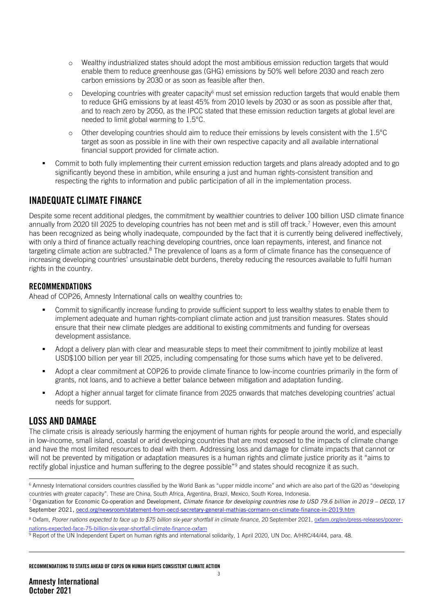- o Wealthy industrialized states should adopt the most ambitious emission reduction targets that would enable them to reduce greenhouse gas (GHG) emissions by 50% well before 2030 and reach zero carbon emissions by 2030 or as soon as feasible after then.
- $\circ$  Developing countries with greater capacity must set emission reduction targets that would enable them to reduce GHG emissions by at least 45% from 2010 levels by 2030 or as soon as possible after that, and to reach zero by 2050, as the IPCC stated that these emission reduction targets at global level are needed to limit global warming to 1.5°C.
- o Other developing countries should aim to reduce their emissions by levels consistent with the 1.5°C target as soon as possible in line with their own respective capacity and all available international financial support provided for climate action.
- Commit to both fully implementing their current emission reduction targets and plans already adopted and to go significantly beyond these in ambition, while ensuring a just and human rights-consistent transition and respecting the rights to information and public participation of all in the implementation process.

#### INADEQUATE CLIMATE FINANCE

Despite some recent additional pledges, the commitment by wealthier countries to deliver 100 billion USD climate finance annually from 2020 till 2025 to developing countries has not been met and is still off track. <sup>7</sup> However, even this amount has been recognized as being wholly inadequate, compounded by the fact that it is currently being delivered ineffectively. with only a third of finance actually reaching developing countries, once loan repayments, interest, and finance not targeting climate action are subtracted.<sup>8</sup> The prevalence of loans as a form of climate finance has the consequence of increasing developing countries' unsustainable debt burdens, thereby reducing the resources available to fulfil human rights in the country.

#### RECOMMENDATIONS

Ahead of COP26, Amnesty International calls on wealthy countries to:

- Commit to significantly increase funding to provide sufficient support to less wealthy states to enable them to implement adequate and human rights-compliant climate action and just transition measures. States should ensure that their new climate pledges are additional to existing commitments and funding for overseas development assistance.
- Adopt a delivery plan with clear and measurable steps to meet their commitment to jointly mobilize at least USD\$100 billion per year till 2025, including compensating for those sums which have yet to be delivered.
- Adopt a clear commitment at COP26 to provide climate finance to low-income countries primarily in the form of grants, not loans, and to achieve a better balance between mitigation and adaptation funding.
- Adopt a higher annual target for climate finance from 2025 onwards that matches developing countries' actual needs for support.

#### LOSS AND DAMAGE

The climate crisis is already seriously harming the enjoyment of human rights for people around the world, and especially in low-income, small island, coastal or arid developing countries that are most exposed to the impacts of climate change and have the most limited resources to deal with them. Addressing loss and damage for climate impacts that cannot or will not be prevented by mitigation or adaptation measures is a human rights and climate justice priority as it "aims to rectify global injustice and human suffering to the degree possible"<sup>9</sup> and states should recognize it as such.

<sup>-</sup><sup>6</sup> Amnesty International considers countries classified by the World Bank as "upper middle income" and which are also part of the G20 as "developing countries with greater capacity". These are China, South Africa, Argentina, Brazil, Mexico, South Korea, Indonesia.

<sup>7</sup> Organization for Economic Co-operation and Development, *Climate finance for developing countries rose to USD 79.6 billion in 2019 – OECD*, 17 September 2021, [oecd.org/newsroom/statement-from-oecd-secretary-general-mathias-cormann-on-climate-finance-in-2019.htm](https://www.oecd.org/newsroom/statement-from-oecd-secretary-general-mathias-cormann-on-climate-finance-in-2019.htm)

<sup>8</sup> Oxfam, *Poorer nations expected to face up to \$75 billion six-year shortfall in climate finance*, 20 September 2021, [oxfam.org/en/press-releases/poorer](https://www.oxfam.org/en/press-releases/poorer-nations-expected-face-75-billion-six-year-shortfall-climate-finance-oxfam)[nations-expected-face-75-billion-six-year-shortfall-climate-finance-oxfam](https://www.oxfam.org/en/press-releases/poorer-nations-expected-face-75-billion-six-year-shortfall-climate-finance-oxfam)

<sup>9</sup> Report of the UN Independent Expert on human rights and international solidarity, 1 April 2020, UN Doc. A/HRC/44/44, para. 48.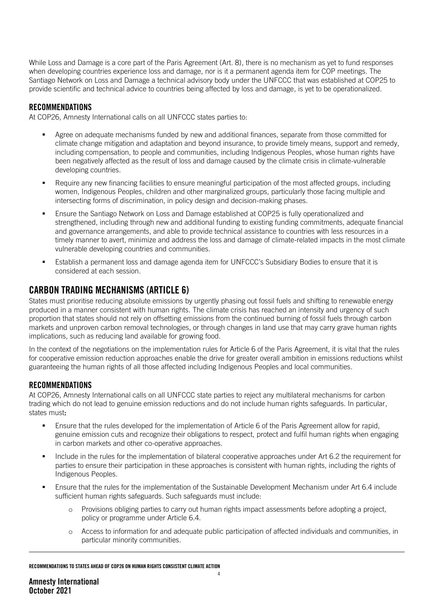While Loss and Damage is a core part of the Paris Agreement (Art. 8), there is no mechanism as yet to fund responses when developing countries experience loss and damage, nor is it a permanent agenda item for COP meetings. The Santiago Network on Loss and Damage a technical advisory body under the UNFCCC that was established at COP25 to provide scientific and technical advice to countries being affected by loss and damage, is yet to be operationalized.

#### RECOMMENDATIONS

At COP26, Amnesty International calls on all UNFCCC states parties to:

- Agree on adequate mechanisms funded by new and additional finances, separate from those committed for climate change mitigation and adaptation and beyond insurance, to provide timely means, support and remedy, including compensation, to people and communities, including Indigenous Peoples, whose human rights have been negatively affected as the result of loss and damage caused by the climate crisis in climate-vulnerable developing countries.
- Require any new financing facilities to ensure meaningful participation of the most affected groups, including women, Indigenous Peoples, children and other marginalized groups, particularly those facing multiple and intersecting forms of discrimination, in policy design and decision-making phases.
- **Ensure the Santiago Network on Loss and Damage established at COP25 is fully operationalized and** strengthened, including through new and additional funding to existing funding commitments, adequate financial and governance arrangements, and able to provide technical assistance to countries with less resources in a timely manner to avert, minimize and address the loss and damage of climate-related impacts in the most climate vulnerable developing countries and communities.
- Establish a permanent loss and damage agenda item for UNFCCC's Subsidiary Bodies to ensure that it is considered at each session.

#### CARBON TRADING MECHANISMS (ARTICLE 6)

States must prioritise reducing absolute emissions by urgently phasing out fossil fuels and shifting to renewable energy produced in a manner consistent with human rights. The climate crisis has reached an intensity and urgency of such proportion that states should not rely on offsetting emissions from the continued burning of fossil fuels through carbon markets and unproven carbon removal technologies, or through changes in land use that may carry grave human rights implications, such as reducing land available for growing food.

In the context of the negotiations on the implementation rules for Article 6 of the Paris Agreement, it is vital that the rules for cooperative emission reduction approaches enable the drive for greater overall ambition in emissions reductions whilst guaranteeing the human rights of all those affected including Indigenous Peoples and local communities.

#### RECOMMENDATIONS

At COP26, Amnesty International calls on all UNFCCC state parties to reject any multilateral mechanisms for carbon trading which do not lead to genuine emission reductions and do not include human rights safeguards. In particular, states must:

- Ensure that the rules developed for the implementation of Article 6 of the Paris Agreement allow for rapid, genuine emission cuts and recognize their obligations to respect, protect and fulfil human rights when engaging in carbon markets and other co-operative approaches.
- Include in the rules for the implementation of bilateral cooperative approaches under Art 6.2 the requirement for parties to ensure their participation in these approaches is consistent with human rights, including the rights of Indigenous Peoples.
- Ensure that the rules for the implementation of the Sustainable Development Mechanism under Art 6.4 include sufficient human rights safeguards. Such safeguards must include:
	- Provisions obliging parties to carry out human rights impact assessments before adopting a project, policy or programme under Article 6.4.
	- o Access to information for and adequate public participation of affected individuals and communities, in particular minority communities.

#### RECOMMENDATIONS TO STATES AHEAD OF COP26 ON HUMAN RIGHTS CONSISTENT CLIMATE ACTION